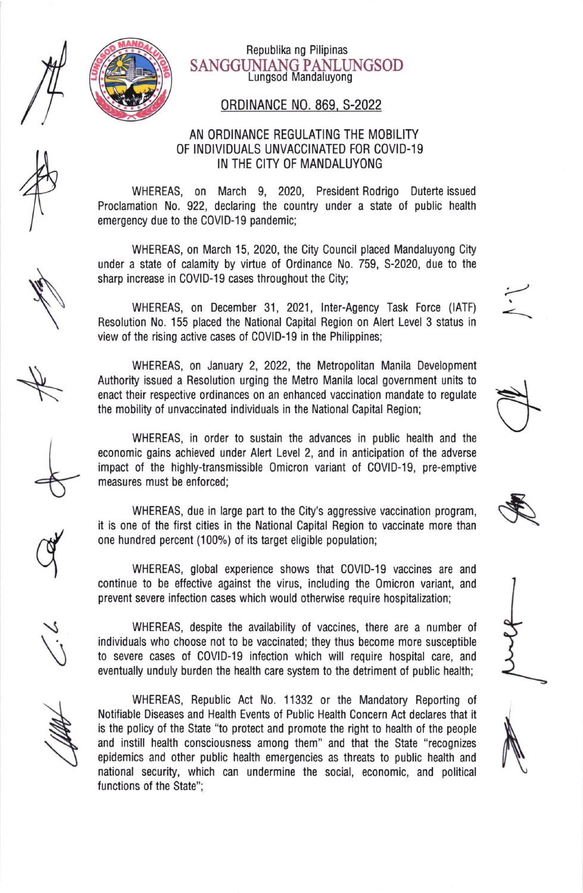



## Republika ng Pilipinas SANGGUNIANG PANLUNGSOD Lungsod Mandaluyong

## 0RDtNANCE N0. 869. 5-2022

## AN ORDINANCE REGULATING THE MOBILITY OF INDIVIDUALS UNVACCINATED FOR COVID-19 IN THE CITY OF MANDALUYONG

WHEREAS, on March 9, 2020, President Rodrigo Duterte issued Proclamation No. 922, declaring the country under a state of public health emergency due to the COVID-19 pandemic;

WHEREAS, on March 15,2020, the City Council placed Mandaluyong City under a state of calamity by virtue of 0rdinance No. 759, 5-2020, due to the sharp increase in C0VID-19 cases throughout the City;

WHEREAS, on December 31, 2021, Inter-Agency Task Force (IATF) Resolution No. 155 placed the National Capital Region on Alert Level 3 status in view of the rising active cases of COVID-19 in the Philippines;

WHEREAS, on January 2, 2022, the Metropolitan Manila Development Authority issued a Resolution urging the Metro Manila local government units to enact their respective ordinances on an enhanced vaccination mandate to regulate the mobility of unvaccinated individuals in the National Capital Region;

WHEREAS, in order to sustain the advances in public health and the economic gains achieved under Alert Level 2, and in anticipation of the adverse impact of the highly-transmissible omicron variant of CoVID-19, pre-emptive measures must be enforced;

WHEREAS, due in large part to the City's aggressive vaccination program, it is one of the first cities in the National Capital Region to vaccinate more than one hundred percent (100%) of its target eligible population;

WHEREAS, global experience shows that C0VID-19 vaccines are and continue to be effective against the virus, including the Omicron variant, and prevent severe infection cases which would otherwise require hospitalization;

WHEREAS, despite the availability of vaccines, there are a number of individuals who choose not to be vaccinated; they thus become more susceptible

 $\ddot{\phantom{0}}$ 

to severe cases of COVID-19 infection which will require hospital care, and eventually unduly burden the health care system to the detriment of public health; WHEREAS, Republic Act No. 11332 or the Mandatory Reporting of Notifiable Diseases and Health Events of Public Health Concern Act declares that it

is the policy of the State "to protect and promote the right to health of the people and instill health consciousness among them" and that the State "recognizes epidemics and other public health emergencies as threats to public health and national security, which can undermine the social, economic, and political tunctions of the State";









 $\mathbb{N}$